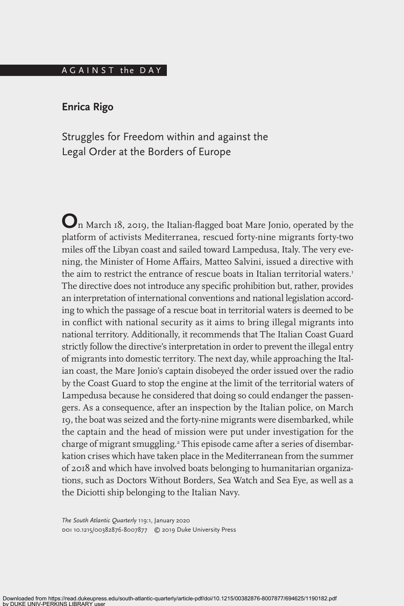### A G A I N S T the DAY

# **Enrica Rigo**

Struggles for Freedom within and against the Legal Order at the Borders of Europe

**O**n March 18, 2019, the Italian-flagged boat Mare Jonio, operated by the platform of activists Mediterranea, rescued forty-nine migrants forty-two miles off the Libyan coast and sailed toward Lampedusa, Italy. The very evening, the Minister of Home Affairs, Matteo Salvini, issued a directive with the aim to restrict the entrance of rescue boats in Italian territorial waters.<sup>1</sup> The directive does not introduce any specific prohibition but, rather, provides an interpretation of international conventions and national legislation according to which the passage of a rescue boat in territorial waters is deemed to be in conflict with national security as it aims to bring illegal migrants into national territory. Additionally, it recommends that The Italian Coast Guard strictly follow the directive's interpretation in order to prevent the illegal entry of migrants into domestic territory. The next day, while approaching the Italian coast, the Mare Jonio's captain disobeyed the order issued over the radio by the Coast Guard to stop the engine at the limit of the territorial waters of Lampedusa because he considered that doing so could endanger the passengers. As a consequence, after an inspection by the Italian police, on March 19, the boat was seized and the forty-nine migrants were disembarked, while the captain and the head of mission were put under investigation for the charge of migrant smuggling.<sup>2</sup> This episode came after a series of disembarkation crises which have taken place in the Mediterranean from the summer of 2018 and which have involved boats belonging to humanitarian organizations, such as Doctors Without Borders, Sea Watch and Sea Eye, as well as a the Diciotti ship belonging to the Italian Navy.

*The South Atlantic Quarterly* 119:1, January 2020 doi 10.1215/00382876-8007877 © 2019 Duke University Press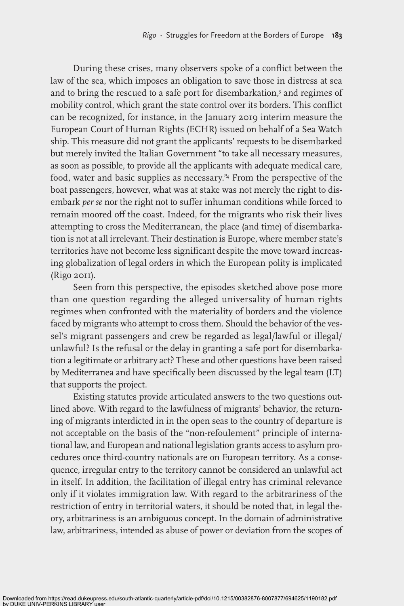During these crises, many observers spoke of a conflict between the law of the sea, which imposes an obligation to save those in distress at sea and to bring the rescued to a safe port for disembarkation,<sup>3</sup> and regimes of mobility control, which grant the state control over its borders. This conflict can be recognized, for instance, in the January 2019 interim measure the European Court of Human Rights (ECHR) issued on behalf of a Sea Watch ship. This measure did not grant the applicants' requests to be disembarked but merely invited the Italian Government "to take all necessary measures, as soon as possible, to provide all the applicants with adequate medical care, food, water and basic supplies as necessary."4 From the perspective of the boat passengers, however, what was at stake was not merely the right to disembark *per se* nor the right not to suffer inhuman conditions while forced to remain moored off the coast. Indeed, for the migrants who risk their lives attempting to cross the Mediterranean, the place (and time) of disembarkation is not at all irrelevant. Their destination is Europe, where member state's territories have not become less significant despite the move toward increasing globalization of legal orders in which the European polity is implicated (Rigo 2011).

Seen from this perspective, the episodes sketched above pose more than one question regarding the alleged universality of human rights regimes when confronted with the materiality of borders and the violence faced by migrants who attempt to cross them. Should the behavior of the vessel's migrant passengers and crew be regarded as legal/lawful or illegal/ unlawful? Is the refusal or the delay in granting a safe port for disembarkation a legitimate or arbitrary act? These and other questions have been raised by Mediterranea and have specifically been discussed by the legal team (LT) that supports the project.

Existing statutes provide articulated answers to the two questions outlined above. With regard to the lawfulness of migrants' behavior, the returning of migrants interdicted in in the open seas to the country of departure is not acceptable on the basis of the "non-refoulement" principle of international law, and European and national legislation grants access to asylum procedures once third-country nationals are on European territory. As a consequence, irregular entry to the territory cannot be considered an unlawful act in itself. In addition, the facilitation of illegal entry has criminal relevance only if it violates immigration law. With regard to the arbitrariness of the restriction of entry in territorial waters, it should be noted that, in legal theory, arbitrariness is an ambiguous concept. In the domain of administrative law, arbitrariness, intended as abuse of power or deviation from the scopes of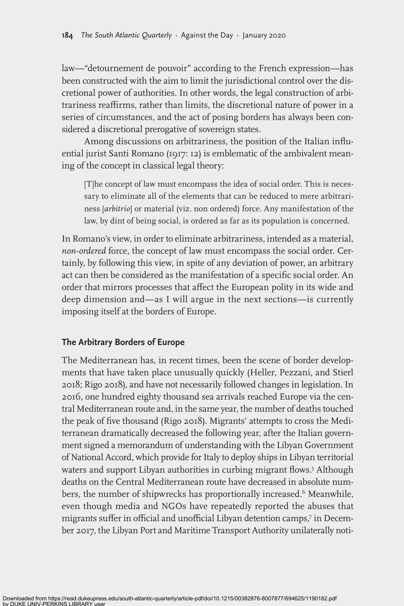law—"detournement de pouvoir" according to the French expression—has been constructed with the aim to limit the jurisdictional control over the discretional power of authorities. In other words, the legal construction of arbitrariness reaffirms, rather than limits, the discretional nature of power in a series of circumstances, and the act of posing borders has always been considered a discretional prerogative of sovereign states.

Among discussions on arbitrariness, the position of the Italian influential jurist Santi Romano (1917: 12) is emblematic of the ambivalent meaning of the concept in classical legal theory:

[T]he concept of law must encompass the idea of social order. This is necessary to eliminate all of the elements that can be reduced to mere arbitrariness [*arbitrio*] or material (viz. non ordered) force. Any manifestation of the law, by dint of being social, is ordered as far as its population is concerned.

In Romano's view, in order to eliminate arbitrariness, intended as a material, *non-ordered* force, the concept of law must encompass the social order. Certainly, by following this view, in spite of any deviation of power, an arbitrary act can then be considered as the manifestation of a specific social order. An order that mirrors processes that affect the European polity in its wide and deep dimension and—as I will argue in the next sections—is currently imposing itself at the borders of Europe.

# **The Arbitrary Borders of Europe**

The Mediterranean has, in recent times, been the scene of border developments that have taken place unusually quickly (Heller, Pezzani, and Stierl 2018; Rigo 2018), and have not necessarily followed changes in legislation. In 2016, one hundred eighty thousand sea arrivals reached Europe via the central Mediterranean route and, in the same year, the number of deaths touched the peak of five thousand (Rigo 2018). Migrants' attempts to cross the Mediterranean dramatically decreased the following year, after the Italian government signed a memorandum of understanding with the Libyan Government of National Accord, which provide for Italy to deploy ships in Libyan territorial waters and support Libyan authorities in curbing migrant flows.5 Although deaths on the Central Mediterranean route have decreased in absolute numbers, the number of shipwrecks has proportionally increased.<sup>6</sup> Meanwhile, even though media and NGOs have repeatedly reported the abuses that migrants suffer in official and unofficial Libyan detention camps,7 in December 2017, the Libyan Port and Maritime Transport Authority unilaterally noti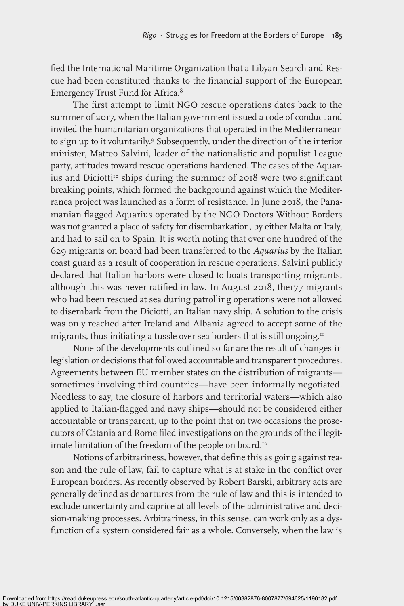fied the International Maritime Organization that a Libyan Search and Rescue had been constituted thanks to the financial support of the European Emergency Trust Fund for Africa.8

The first attempt to limit NGO rescue operations dates back to the summer of 2017, when the Italian government issued a code of conduct and invited the humanitarian organizations that operated in the Mediterranean to sign up to it voluntarily.9 Subsequently, under the direction of the interior minister, Matteo Salvini, leader of the nationalistic and populist League party, attitudes toward rescue operations hardened. The cases of the Aquarius and Diciotti<sup>10</sup> ships during the summer of 2018 were two significant breaking points, which formed the background against which the Mediterranea project was launched as a form of resistance. In June 2018, the Panamanian flagged Aquarius operated by the NGO Doctors Without Borders was not granted a place of safety for disembarkation, by either Malta or Italy, and had to sail on to Spain. It is worth noting that over one hundred of the 629 migrants on board had been transferred to the *Aquarius* by the Italian coast guard as a result of cooperation in rescue operations. Salvini publicly declared that Italian harbors were closed to boats transporting migrants, although this was never ratified in law. In August 2018, the177 migrants who had been rescued at sea during patrolling operations were not allowed to disembark from the Diciotti*,* an Italian navy ship. A solution to the crisis was only reached after Ireland and Albania agreed to accept some of the migrants, thus initiating a tussle over sea borders that is still ongoing.<sup>11</sup>

None of the developments outlined so far are the result of changes in legislation or decisions that followed accountable and transparent procedures. Agreements between EU member states on the distribution of migrants sometimes involving third countries—have been informally negotiated. Needless to say, the closure of harbors and territorial waters—which also applied to Italian-flagged and navy ships—should not be considered either accountable or transparent, up to the point that on two occasions the prosecutors of Catania and Rome filed investigations on the grounds of the illegitimate limitation of the freedom of the people on board.<sup>12</sup>

Notions of arbitrariness, however, that define this as going against reason and the rule of law, fail to capture what is at stake in the conflict over European borders. As recently observed by Robert Barski, arbitrary acts are generally defined as departures from the rule of law and this is intended to exclude uncertainty and caprice at all levels of the administrative and decision-making processes. Arbitrariness, in this sense, can work only as a dysfunction of a system considered fair as a whole. Conversely, when the law is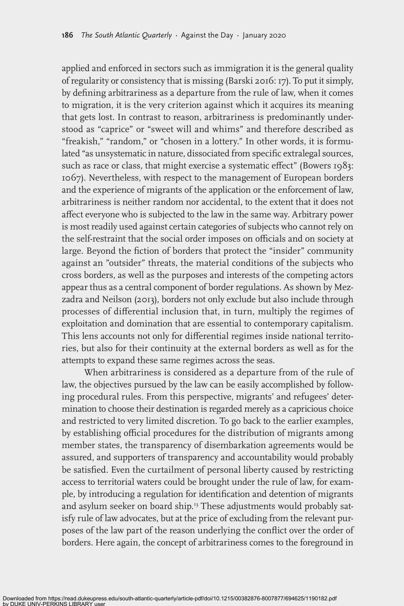applied and enforced in sectors such as immigration it is the general quality of regularity or consistency that is missing (Barski 2016: 17). To put it simply, by defining arbitrariness as a departure from the rule of law, when it comes to migration, it is the very criterion against which it acquires its meaning that gets lost. In contrast to reason, arbitrariness is predominantly understood as "caprice" or "sweet will and whims" and therefore described as "freakish," "random," or "chosen in a lottery." In other words, it is formulated "as unsystematic in nature, dissociated from specific extralegal sources, such as race or class, that might exercise a systematic effect" (Bowers 1983: 1067). Nevertheless, with respect to the management of European borders and the experience of migrants of the application or the enforcement of law, arbitrariness is neither random nor accidental, to the extent that it does not affect everyone who is subjected to the law in the same way. Arbitrary power is most readily used against certain categories of subjects who cannot rely on the self-restraint that the social order imposes on officials and on society at large. Beyond the fiction of borders that protect the "insider" community against an "outsider" threats, the material conditions of the subjects who cross borders, as well as the purposes and interests of the competing actors appear thus as a central component of border regulations. As shown by Mezzadra and Neilson (2013), borders not only exclude but also include through processes of differential inclusion that, in turn, multiply the regimes of exploitation and domination that are essential to contemporary capitalism. This lens accounts not only for differential regimes inside national territories, but also for their continuity at the external borders as well as for the attempts to expand these same regimes across the seas.

When arbitrariness is considered as a departure from of the rule of law, the objectives pursued by the law can be easily accomplished by following procedural rules. From this perspective, migrants' and refugees' determination to choose their destination is regarded merely as a capricious choice and restricted to very limited discretion. To go back to the earlier examples, by establishing official procedures for the distribution of migrants among member states, the transparency of disembarkation agreements would be assured, and supporters of transparency and accountability would probably be satisfied. Even the curtailment of personal liberty caused by restricting access to territorial waters could be brought under the rule of law, for example, by introducing a regulation for identification and detention of migrants and asylum seeker on board ship.<sup>13</sup> These adjustments would probably satisfy rule of law advocates, but at the price of excluding from the relevant purposes of the law part of the reason underlying the conflict over the order of borders. Here again, the concept of arbitrariness comes to the foreground in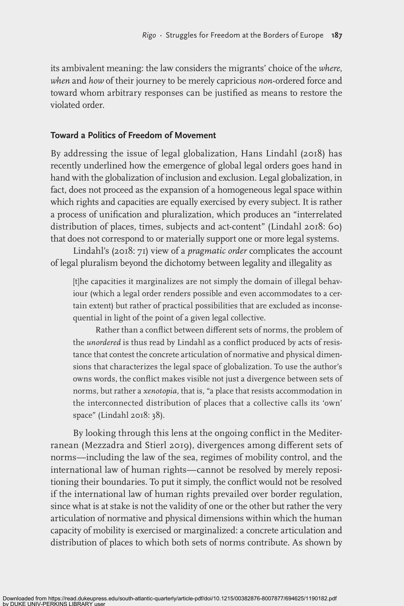its ambivalent meaning: the law considers the migrants' choice of the *where*, *when* and *how* of their journey to be merely capricious *non*-ordered force and toward whom arbitrary responses can be justified as means to restore the violated order.

## **Toward a Politics of Freedom of Movement**

By addressing the issue of legal globalization, Hans Lindahl (2018) has recently underlined how the emergence of global legal orders goes hand in hand with the globalization of inclusion and exclusion. Legal globalization, in fact, does not proceed as the expansion of a homogeneous legal space within which rights and capacities are equally exercised by every subject. It is rather a process of unification and pluralization, which produces an "interrelated distribution of places, times, subjects and act-content" (Lindahl 2018: 60) that does not correspond to or materially support one or more legal systems.

Lindahl's (2018: 71) view of a *pragmatic order* complicates the account of legal pluralism beyond the dichotomy between legality and illegality as

[t]he capacities it marginalizes are not simply the domain of illegal behaviour (which a legal order renders possible and even accommodates to a certain extent) but rather of practical possibilities that are excluded as inconsequential in light of the point of a given legal collective.

Rather than a conflict between different sets of norms, the problem of the *unordered* is thus read by Lindahl as a conflict produced by acts of resistance that contest the concrete articulation of normative and physical dimensions that characterizes the legal space of globalization. To use the author's owns words, the conflict makes visible not just a divergence between sets of norms, but rather a *xenotopia*, that is, "a place that resists accommodation in the interconnected distribution of places that a collective calls its 'own' space" (Lindahl 2018: 38).

By looking through this lens at the ongoing conflict in the Mediterranean (Mezzadra and Stierl 2019), divergences among different sets of norms—including the law of the sea, regimes of mobility control, and the international law of human rights—cannot be resolved by merely repositioning their boundaries. To put it simply, the conflict would not be resolved if the international law of human rights prevailed over border regulation, since what is at stake is not the validity of one or the other but rather the very articulation of normative and physical dimensions within which the human capacity of mobility is exercised or marginalized: a concrete articulation and distribution of places to which both sets of norms contribute. As shown by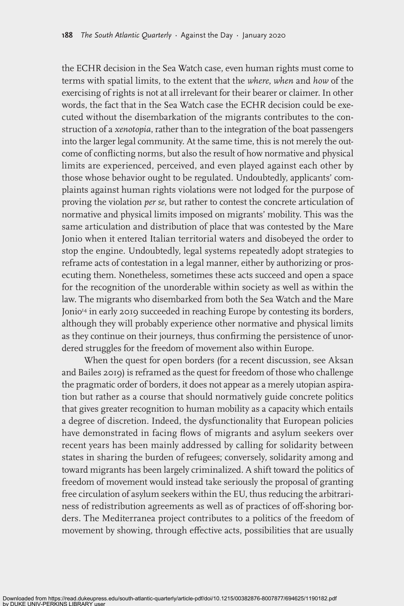the ECHR decision in the Sea Watch case, even human rights must come to terms with spatial limits, to the extent that the *where*, *when* and *how* of the exercising of rights is not at all irrelevant for their bearer or claimer. In other words, the fact that in the Sea Watch case the ECHR decision could be executed without the disembarkation of the migrants contributes to the construction of a *xenotopia*, rather than to the integration of the boat passengers into the larger legal community. At the same time, this is not merely the outcome of conflicting norms, but also the result of how normative and physical limits are experienced, perceived, and even played against each other by those whose behavior ought to be regulated. Undoubtedly, applicants' complaints against human rights violations were not lodged for the purpose of proving the violation *per se*, but rather to contest the concrete articulation of normative and physical limits imposed on migrants' mobility. This was the same articulation and distribution of place that was contested by the Mare Jonio when it entered Italian territorial waters and disobeyed the order to stop the engine. Undoubtedly, legal systems repeatedly adopt strategies to reframe acts of contestation in a legal manner, either by authorizing or prosecuting them. Nonetheless, sometimes these acts succeed and open a space for the recognition of the unorderable within society as well as within the law. The migrants who disembarked from both the Sea Watch and the Mare Jonio<sup>14</sup> in early 2019 succeeded in reaching Europe by contesting its borders, although they will probably experience other normative and physical limits as they continue on their journeys, thus confirming the persistence of unordered struggles for the freedom of movement also within Europe.

When the quest for open borders (for a recent discussion, see Aksan and Bailes 2019) is reframed as the quest for freedom of those who challenge the pragmatic order of borders, it does not appear as a merely utopian aspiration but rather as a course that should normatively guide concrete politics that gives greater recognition to human mobility as a capacity which entails a degree of discretion. Indeed, the dysfunctionality that European policies have demonstrated in facing flows of migrants and asylum seekers over recent years has been mainly addressed by calling for solidarity between states in sharing the burden of refugees; conversely, solidarity among and toward migrants has been largely criminalized. A shift toward the politics of freedom of movement would instead take seriously the proposal of granting free circulation of asylum seekers within the EU, thus reducing the arbitrariness of redistribution agreements as well as of practices of off-shoring borders. The Mediterranea project contributes to a politics of the freedom of movement by showing, through effective acts, possibilities that are usually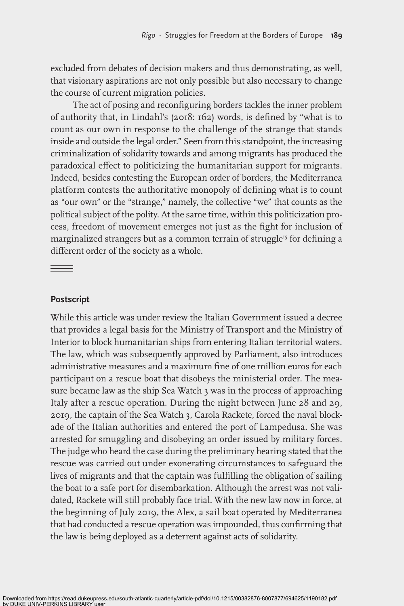excluded from debates of decision makers and thus demonstrating, as well, that visionary aspirations are not only possible but also necessary to change the course of current migration policies.

The act of posing and reconfiguring borders tackles the inner problem of authority that, in Lindahl's (2018: 162) words, is defined by "what is to count as our own in response to the challenge of the strange that stands inside and outside the legal order." Seen from this standpoint, the increasing criminalization of solidarity towards and among migrants has produced the paradoxical effect to politicizing the humanitarian support for migrants. Indeed, besides contesting the European order of borders, the Mediterranea platform contests the authoritative monopoly of defining what is to count as "our own" or the "strange," namely, the collective "we" that counts as the political subject of the polity. At the same time, within this politicization process, freedom of movement emerges not just as the fight for inclusion of marginalized strangers but as a common terrain of struggle<sup>15</sup> for defining a different order of the society as a whole.

### **Postscript**

 $\qquad \qquad = \qquad$ 

While this article was under review the Italian Government issued a decree that provides a legal basis for the Ministry of Transport and the Ministry of Interior to block humanitarian ships from entering Italian territorial waters. The law, which was subsequently approved by Parliament, also introduces administrative measures and a maximum fine of one million euros for each participant on a rescue boat that disobeys the ministerial order. The measure became law as the ship Sea Watch 3 was in the process of approaching Italy after a rescue operation. During the night between June 28 and 29, 2019, the captain of the Sea Watch 3, Carola Rackete, forced the naval blockade of the Italian authorities and entered the port of Lampedusa. She was arrested for smuggling and disobeying an order issued by military forces. The judge who heard the case during the preliminary hearing stated that the rescue was carried out under exonerating circumstances to safeguard the lives of migrants and that the captain was fulfilling the obligation of sailing the boat to a safe port for disembarkation. Although the arrest was not validated, Rackete will still probably face trial. With the new law now in force, at the beginning of July 2019, the Alex, a sail boat operated by Mediterranea that had conducted a rescue operation was impounded, thus confirming that the law is being deployed as a deterrent against acts of solidarity.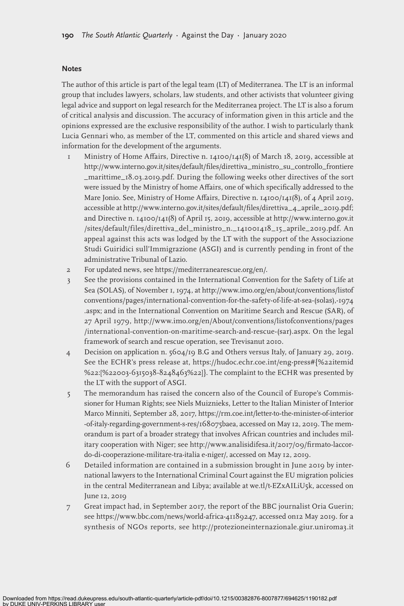#### **Notes**

The author of this article is part of the legal team (LT) of Mediterranea. The LT is an informal group that includes lawyers, scholars, law students, and other activists that volunteer giving legal advice and support on legal research for the Mediterranea project. The LT is also a forum of critical analysis and discussion. The accuracy of information given in this article and the opinions expressed are the exclusive responsibility of the author. I wish to particularly thank Lucia Gennari who, as member of the LT, commented on this article and shared views and information for the development of the arguments.

- 1 Ministry of Home Affairs, Directive n. 14100/141(8) of March 18, 2019, accessible at http://www.interno.gov.it/sites/default/files/direttiva\_ministro\_su\_controllo\_frontiere \_marittime\_18.03.2019.pdf. During the following weeks other directives of the sort were issued by the Ministry of home Affairs, one of which specifically addressed to the Mare Jonio. See, Ministry of Home Affairs, Directive n. 14100/141(8), of 4 April 2019, accessible at http://www.interno.gov.it/sites/default/files/direttiva\_4\_aprile\_2019.pdf; and Directive n. 14100/141(8) of April 15, 2019, accessible at http://www.interno.gov.it /sites/default/files/direttiva\_del\_ministro\_n.\_141001418\_15\_aprile\_2019.pdf. An appeal against this acts was lodged by the LT with the support of the Associazione Studi Guiridici sull'Immigrazione (ASGI) and is currently pending in front of the administrative Tribunal of Lazio.
- 2 For updated news, see https://mediterranearescue.org/en/.
- 3 See the provisions contained in the International Convention for the Safety of Life at Sea (SOLAS), of November 1, 1974, at http://www.imo.org/en/about/conventions/listof conventions/pages/international-convention-for-the-safety-of-life-at-sea-(solas),-1974 .aspx; and in the International Convention on Maritime Search and Rescue (SAR), of 27 April 1979, http://www.imo.org/en/About/conventions/listofconventions/pages /international-convention-on-maritime-search-and-rescue-(sar).aspx. On the legal framework of search and rescue operation, see Trevisanut 2010.
- 4 Decision on application n. 5604/19 B.G and Others versus Italy, of January 29, 2019. See the ECHR's press release at, https://hudoc.echr.coe.int/eng-press#{%22itemid %22:[%22003-6315038-8248463%22]}. The complaint to the ECHR was presented by the LT with the support of ASGI.
- 5 The memorandum has raised the concern also of the Council of Europe's Commissioner for Human Rights; see Niels Muiznieks, Letter to the Italian Minister of Interior Marco Minniti, September 28, 2017, https://rm.coe.int/letter-to-the-minister-of-interior -of-italy-regarding-government-s-res/168075baea, accessed on May 12, 2019. The memorandum is part of a broader strategy that involves African countries and includes military cooperation with Niger; see http://www.analisidifesa.it/2017/09/firmato-laccordo-di-cooperazione-militare-tra-italia e-niger/, accessed on May 12, 2019.
- 6 Detailed information are contained in a submission brought in June 2019 by international lawyers to the International Criminal Court against the EU migration policies in the central Mediterranean and Libya; available at we.tl/t-EZxAILiU5k, accessed on June 12, 2019
- 7 Great impact had, in September 2017, the report of the BBC journalist Oria Guerin; see https://www.bbc.com/news/world-africa-41189247, accessed on12 May 2019. for a synthesis of NGOs reports, see http://protezioneinternazionale.giur.uniroma3.it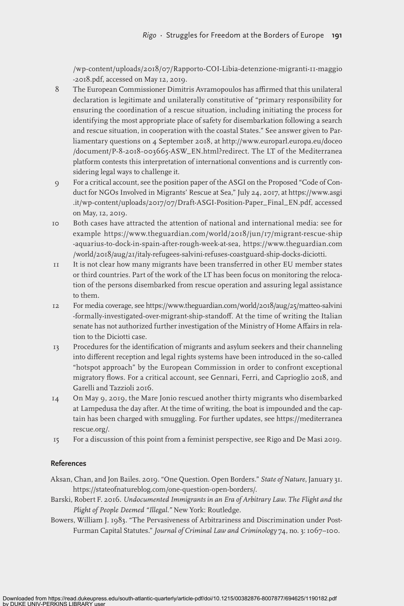/wp-content/uploads/2018/07/Rapporto-COI-Libia-detenzione-migranti-11-maggio -2018.pdf, accessed on May 12, 2019.

- 8 The European Commissioner Dimitris Avramopoulos has affirmed that this unilateral declaration is legitimate and unilaterally constitutive of "primary responsibility for ensuring the coordination of a rescue situation, including initiating the process for identifying the most appropriate place of safety for disembarkation following a search and rescue situation, in cooperation with the coastal States." See answer given to Parliamentary questions on 4 September 2018, at http://www.europarl.europa.eu/doceo /document/P-8-2018-003665-ASW\_EN.html?redirect. The LT of the Mediterranea platform contests this interpretation of international conventions and is currently considering legal ways to challenge it.
- 9 For a critical account, see the position paper of the ASGI on the Proposed "Code of Conduct for NGOs Involved in Migrants' Rescue at Sea," July 24, 2017, at https://www.asgi .it/wp-content/uploads/2017/07/Draft-ASGI-Position-Paper\_Final\_EN.pdf, accessed on May, 12, 2019.
- 10 Both cases have attracted the attention of national and international media: see for example https://www.theguardian.com/world/2018/jun/17/migrant-rescue-ship -aquarius-to-dock-in-spain-after-rough-week-at-sea, https://www.theguardian.com /world/2018/aug/21/italy-refugees-salvini-refuses-coastguard-ship-docks-diciotti.
- 11 It is not clear how many migrants have been transferred in other EU member states or third countries. Part of the work of the LT has been focus on monitoring the relocation of the persons disembarked from rescue operation and assuring legal assistance to them.
- 12 For media coverage, see https://www.theguardian.com/world/2018/aug/25/matteo-salvini -formally-investigated-over-migrant-ship-standoff. At the time of writing the Italian senate has not authorized further investigation of the Ministry of Home Affairs in relation to the Diciotti case.
- 13 Procedures for the identification of migrants and asylum seekers and their channeling into different reception and legal rights systems have been introduced in the so-called "hotspot approach" by the European Commission in order to confront exceptional migratory flows. For a critical account, see Gennari, Ferri, and Caprioglio 2018, and Garelli and Tazzioli 2016.
- 14 On May 9, 2019, the Mare Jonio rescued another thirty migrants who disembarked at Lampedusa the day after. At the time of writing, the boat is impounded and the captain has been charged with smuggling. For further updates, see https://mediterranea rescue.org/.
- 15 For a discussion of this point from a feminist perspective, see Rigo and De Masi 2019.

#### **References**

- Aksan, Chan, and Jon Bailes. 2019. "One Question. Open Borders." *State of Nature*, January 31. https://stateofnatureblog.com/one-question-open-borders/.
- Barski, Robert F. 2016. *Undocumented Immigrants in an Era of Arbitrary Law. The Flight and the Plight of People Deemed "Illegal."* New York: Routledge.
- Bowers, William J. 1983. "The Pervasiveness of Arbitrariness and Discrimination under Post-Furman Capital Statutes." *Journal of Criminal Law and Criminology* 74, no. 3: 1067–100.